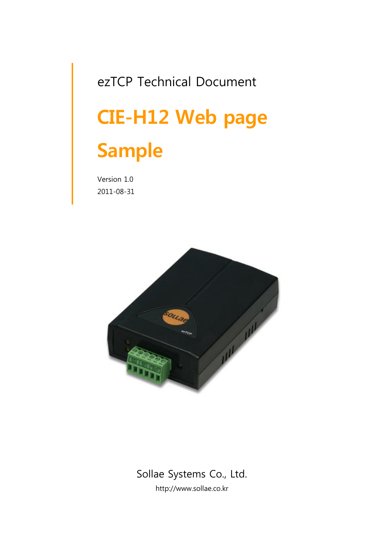# ezTCP Technical Document CIE-H12 Web page Sample

Version 1.0 2011-08-31



### Sollae Systems Co., Ltd. http://www.sollae.co.kr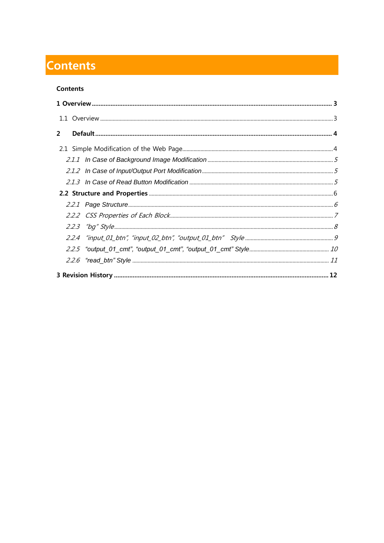## <span id="page-1-0"></span>**Contents**

#### **Contents**

| $\overline{2}$ |  |  |
|----------------|--|--|
|                |  |  |
|                |  |  |
|                |  |  |
|                |  |  |
|                |  |  |
|                |  |  |
|                |  |  |
|                |  |  |
|                |  |  |
|                |  |  |
|                |  |  |
|                |  |  |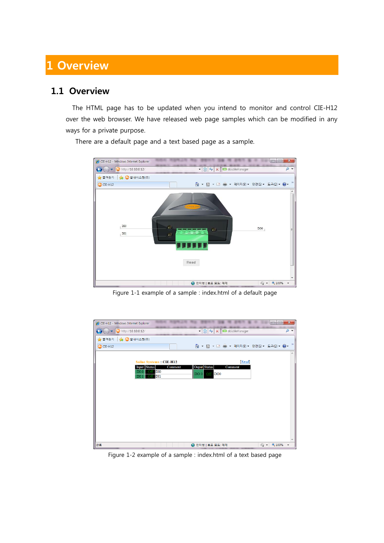## <span id="page-2-0"></span>1 Overview

#### <span id="page-2-1"></span>1.1 Overview

The HTML page has to be updated when you intend to monitor and control CIE-H12 over the web browser. We have released web page samples which can be modified in any ways for a private purpose.



There are a default page and a text based page as a sample.

Figure 1-1 example of a sample : index.html of a default page

| CIE-H12 - Windows Internet Explorer                                  | $\mathbf{x}$<br>$\Box$<br>U                                                      |
|----------------------------------------------------------------------|----------------------------------------------------------------------------------|
| http://10.10.0.12/<br>$\triangledown$                                | doublemanager<br>$\alpha$<br>4 <sub>2</sub><br>图<br>$\times$<br>۰                |
| ☆ ● 솔내시스템(주)<br>☆ 즐겨찾기                                               |                                                                                  |
| CIE-H12                                                              | $\rangle\rangle$                                                                 |
|                                                                      | $\blacktriangle$                                                                 |
| <b>Sollae Systems: CIE-H12</b>                                       | [Read]                                                                           |
| Input Status<br>Comment<br>DI <sub>0</sub><br>DI <sub>0</sub><br>Off | Ouput Status<br>Comment                                                          |
| DI1<br>DI1<br>Off                                                    | DO <sub>0</sub><br>Off<br>DO 0                                                   |
|                                                                      |                                                                                  |
|                                                                      |                                                                                  |
|                                                                      |                                                                                  |
|                                                                      |                                                                                  |
|                                                                      |                                                                                  |
|                                                                      |                                                                                  |
|                                                                      |                                                                                  |
|                                                                      |                                                                                  |
| 완료                                                                   | 电 100%<br>← 인터넷   보호 모드: 해제<br>$\bigcirc$ $\bigcirc$<br>$\overline{\phantom{a}}$ |

Figure 1-2 example of a sample : index.html of a text based page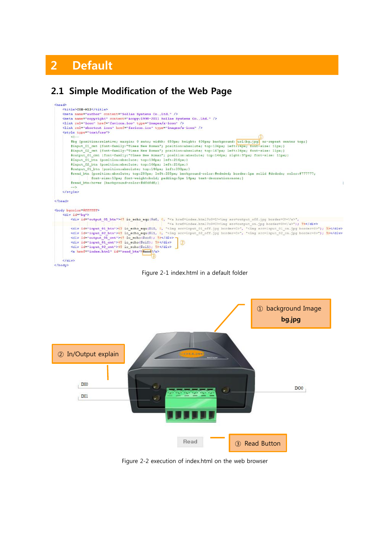## <span id="page-3-0"></span>2 Default

#### <span id="page-3-1"></span>2.1 Simple Modification of the Web Page







Figure 2-2 execution of index.html on the web browser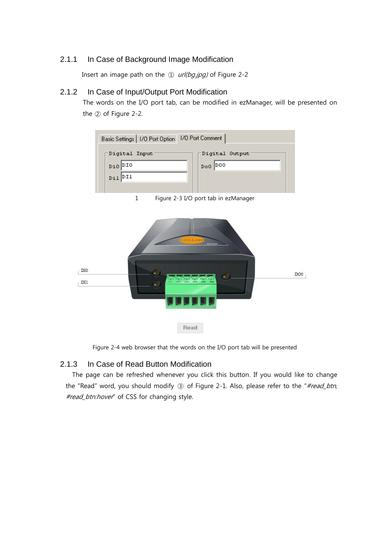#### <span id="page-4-0"></span>2.1.1 In Case of Background Image Modification

Insert an image path on the  $\Omega$  url(bg.jpg) of Figure 2-2

#### <span id="page-4-1"></span>2.1.2 In Case of Input/Output Port Modification

The words on the I/O port tab, can be modified in ezManager, will be presented on the ② of Figure 2-2.



1 Figure 2-3 I/O port tab in ezManager



Figure 2-4 web browser that the words on the I/O port tab will be presented

#### <span id="page-4-2"></span>2.1.3 In Case of Read Button Modification

The page can be refreshed whenever you click this button. If you would like to change the "Read" word, you should modify 3 of Figure 2-1. Also, please refer to the "#read\_btn, #read\_btn:hover" of CSS for changing style.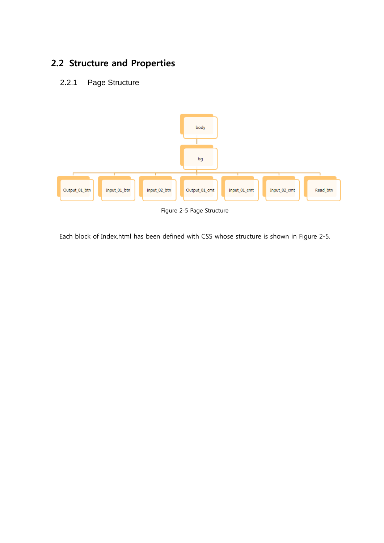## <span id="page-5-0"></span>2.2 Structure and Properties

#### <span id="page-5-1"></span>2.2.1 Page Structure



Each block of Index.html has been defined with CSS whose structure is shown in Figure 2-5.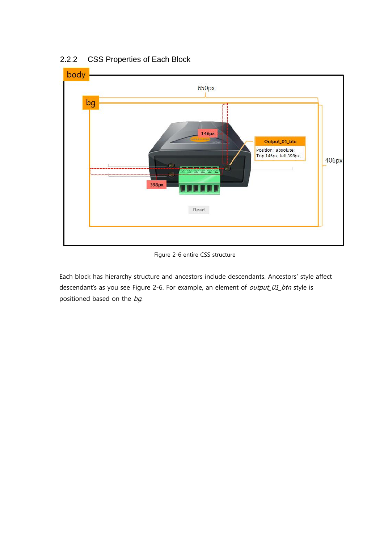

#### <span id="page-6-0"></span>2.2.2 CSS Properties of Each Block

Figure 2-6 entire CSS structure

Each block has hierarchy structure and ancestors include descendants. Ancestors' style affect descendant's as you see Figure 2-6. For example, an element of output\_01\_btn style is positioned based on the bg.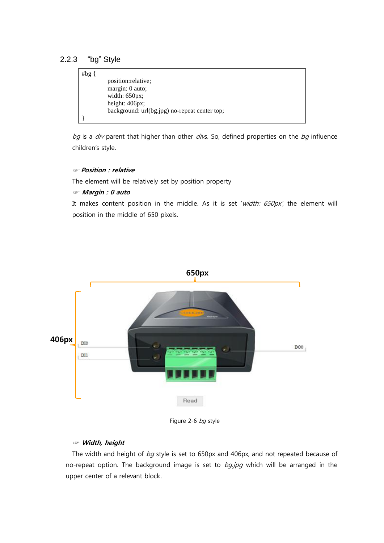#### <span id="page-7-0"></span>2.2.3 "bg" Style

| # $bg\{$ |                                               |
|----------|-----------------------------------------------|
|          | position: relative;                           |
|          | margin: 0 auto;                               |
|          | width: $650px$ ;                              |
|          | height: 406px;                                |
|          | background: url(bg.jpg) no-repeat center top; |
|          |                                               |

bg is a  $div$  parent that higher than other  $divs$ . So, defined properties on the bg influence children's style.

#### ☞ Position : relative

The element will be relatively set by position property

#### ☞ Margin : 0 auto

It makes content position in the middle. As it is set 'width:  $650px'$ , the element will position in the middle of 650 pixels.



Figure 2-6 bg style

#### ☞ Width, height

The width and height of  $bq$  style is set to 650px and 406px, and not repeated because of no-repeat option. The background image is set to  $bg.jpg$  which will be arranged in the upper center of a relevant block.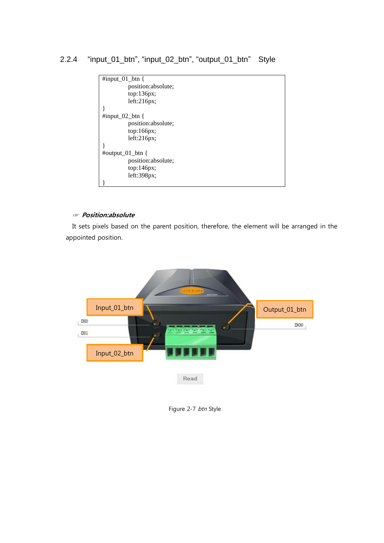<span id="page-8-0"></span>2.2.4 "input\_01\_btn", "input\_02\_btn", "output\_01\_btn" Style



#### ☞ Position:absolute

It sets pixels based on the parent position, therefore, the element will be arranged in the appointed position.



Figure 2-7 btn Style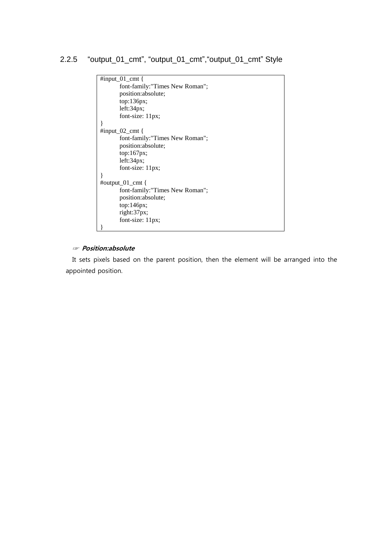#### <span id="page-9-0"></span>2.2.5 "output\_01\_cmt", "output\_01\_cmt","output\_01\_cmt" Style

```
#input_01_cmt {
       font-family:"Times New Roman"; 
       position:absolute; 
       top:136px; 
       left:34px; 
       font-size: 11px;
}
#input_02_cmt {
       font-family:"Times New Roman"; 
       position:absolute; 
       top:167px;
       left:34px;font-size: 11px;
}
#output_01_cmt {
       font-family:"Times New Roman"; 
       position:absolute; 
       top:146px; 
       right:37px;
       font-size: 11px;
}
```
#### ☞ Position:absolute

It sets pixels based on the parent position, then the element will be arranged into the appointed position.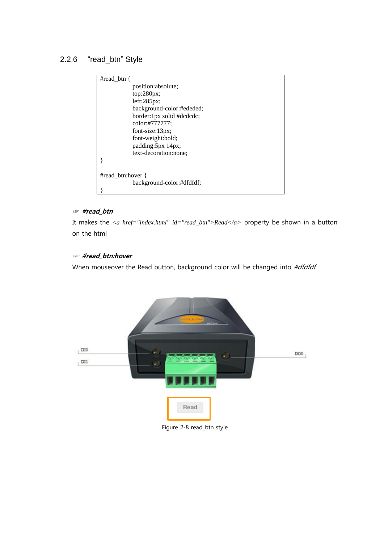#### <span id="page-10-0"></span>2.2.6 "read\_btn" Style



#### ☞ #read\_btn

It makes the *<a href="index.html" id="read\_btn">Read</a>* property be shown in a button on the html

#### ☞ #read\_btn:hover

When mouseover the Read button, background color will be changed into #dfdfdf



Figure 2-8 read\_btn style